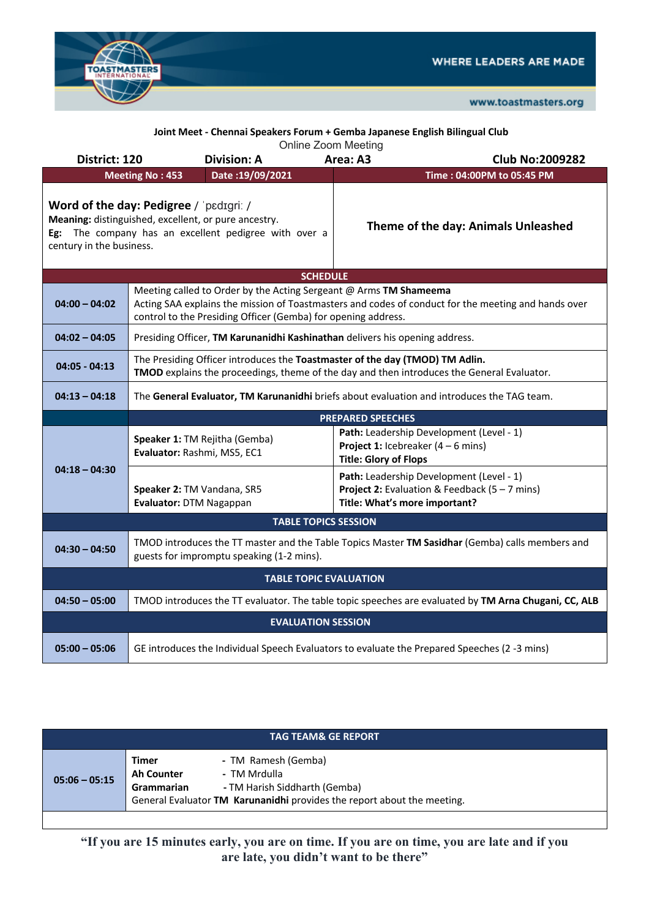



| Joint Meet - Chennai Speakers Forum + Gemba Japanese English Bilingual Club<br><b>Online Zoom Meeting</b>                                                                                                                                      |                                                                                                                                                                                                                                           |                                                                                                                                             |  |  |
|------------------------------------------------------------------------------------------------------------------------------------------------------------------------------------------------------------------------------------------------|-------------------------------------------------------------------------------------------------------------------------------------------------------------------------------------------------------------------------------------------|---------------------------------------------------------------------------------------------------------------------------------------------|--|--|
| District: 120                                                                                                                                                                                                                                  | <b>Division: A</b>                                                                                                                                                                                                                        | Area: A3<br><b>Club No:2009282</b>                                                                                                          |  |  |
| <b>Meeting No: 453</b><br>Date: 19/09/2021                                                                                                                                                                                                     |                                                                                                                                                                                                                                           | Time: 04:00PM to 05:45 PM                                                                                                                   |  |  |
| Word of the day: Pedigree / 'pedigri: /<br>Meaning: distinguished, excellent, or pure ancestry.<br>Theme of the day: Animals Unleashed<br>Eg: The company has an excellent pedigree with over a<br>century in the business.<br><b>SCHEDULE</b> |                                                                                                                                                                                                                                           |                                                                                                                                             |  |  |
|                                                                                                                                                                                                                                                |                                                                                                                                                                                                                                           |                                                                                                                                             |  |  |
| $04:00 - 04:02$                                                                                                                                                                                                                                | Meeting called to Order by the Acting Sergeant @ Arms TM Shameema<br>Acting SAA explains the mission of Toastmasters and codes of conduct for the meeting and hands over<br>control to the Presiding Officer (Gemba) for opening address. |                                                                                                                                             |  |  |
| $04:02 - 04:05$                                                                                                                                                                                                                                | Presiding Officer, TM Karunanidhi Kashinathan delivers his opening address.                                                                                                                                                               |                                                                                                                                             |  |  |
| $04:05 - 04:13$                                                                                                                                                                                                                                | The Presiding Officer introduces the Toastmaster of the day (TMOD) TM Adlin.<br>TMOD explains the proceedings, theme of the day and then introduces the General Evaluator.                                                                |                                                                                                                                             |  |  |
| $04:13 - 04:18$                                                                                                                                                                                                                                | The General Evaluator, TM Karunanidhi briefs about evaluation and introduces the TAG team.                                                                                                                                                |                                                                                                                                             |  |  |
|                                                                                                                                                                                                                                                |                                                                                                                                                                                                                                           | <b>PREPARED SPEECHES</b>                                                                                                                    |  |  |
| $04:18 - 04:30$                                                                                                                                                                                                                                | Speaker 1: TM Rejitha (Gemba)<br>Evaluator: Rashmi, MS5, EC1                                                                                                                                                                              | Path: Leadership Development (Level - 1)<br><b>Project 1:</b> Icebreaker $(4 - 6$ mins)<br><b>Title: Glory of Flops</b>                     |  |  |
|                                                                                                                                                                                                                                                | Speaker 2: TM Vandana, SR5<br>Evaluator: DTM Nagappan                                                                                                                                                                                     | Path: Leadership Development (Level - 1)<br><b>Project 2:</b> Evaluation & Feedback $(5 - 7 \text{ mins})$<br>Title: What's more important? |  |  |
| <b>TABLE TOPICS SESSION</b>                                                                                                                                                                                                                    |                                                                                                                                                                                                                                           |                                                                                                                                             |  |  |
| $04:30 - 04:50$                                                                                                                                                                                                                                | TMOD introduces the TT master and the Table Topics Master TM Sasidhar (Gemba) calls members and<br>guests for impromptu speaking (1-2 mins).                                                                                              |                                                                                                                                             |  |  |
| <b>TABLE TOPIC EVALUATION</b>                                                                                                                                                                                                                  |                                                                                                                                                                                                                                           |                                                                                                                                             |  |  |
| $04:50 - 05:00$                                                                                                                                                                                                                                | TMOD introduces the TT evaluator. The table topic speeches are evaluated by TM Arna Chugani, CC, ALB                                                                                                                                      |                                                                                                                                             |  |  |
| <b>EVALUATION SESSION</b>                                                                                                                                                                                                                      |                                                                                                                                                                                                                                           |                                                                                                                                             |  |  |
| $05:00 - 05:06$                                                                                                                                                                                                                                | GE introduces the Individual Speech Evaluators to evaluate the Prepared Speeches (2 -3 mins)                                                                                                                                              |                                                                                                                                             |  |  |

| <b>Timer</b><br>- TM Ramesh (Gemba)<br>- TM Mrdulla<br><b>Ah Counter</b> | <b>TAG TEAM&amp; GE REPORT</b> |            |                               |  |  |
|--------------------------------------------------------------------------|--------------------------------|------------|-------------------------------|--|--|
| General Evaluator TM Karunanidhi provides the report about the meeting.  | $05:06 - 05:15$                | Grammarian | - TM Harish Siddharth (Gemba) |  |  |

**"If you are 15 minutes early, you are on time. If you are on time, you are late and if you are late, you didn't want to be there"**